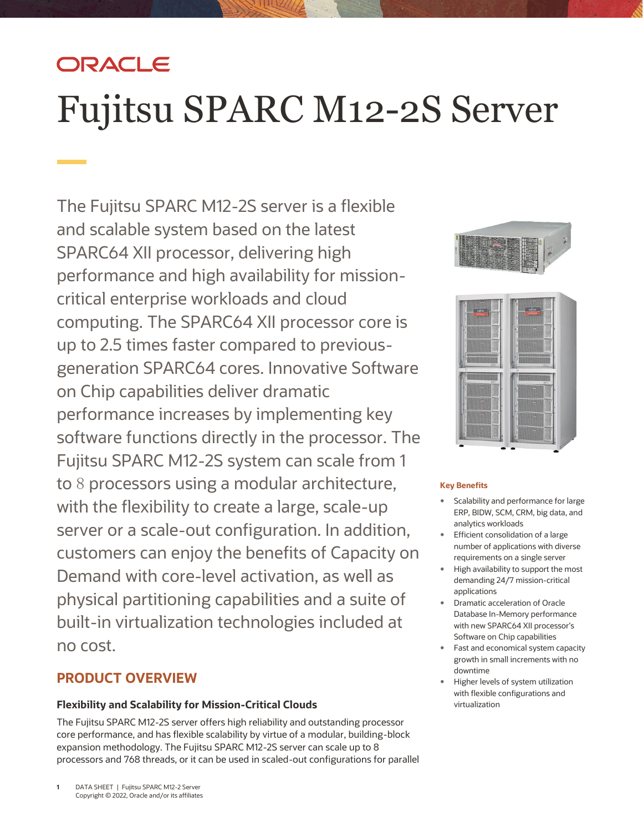# ORACLE

# Fujitsu SPARC M12-2S Server

 and scalable system based on the latest performance and high availability for mission- customers can enjoy the benefits of Capacity on The Fujitsu SPARC M12-2S server is a flexible SPARC64 XII processor, delivering high critical enterprise workloads and cloud computing. The SPARC64 XII processor core is up to 2.5 times faster compared to previousgeneration SPARC64 cores. Innovative Software on Chip capabilities deliver dramatic performance increases by implementing key software functions directly in the processor. The Fujitsu SPARC M12-2S system can scale from 1 to 8 processors using a modular architecture, with the flexibility to create a large, scale-up server or a scale-out configuration. In addition, Demand with core-level activation, as well as physical partitioning capabilities and a suite of built-in virtualization technologies included at no cost.

# **PRODUCT OVERVIEW**

### **Flexibility and Scalability for Mission-Critical Clouds**

 The Fujitsu SPARC M12-2S server offers high reliability and outstanding processor expansion methodology. The Fujitsu SPARC M12-2S server can scale up to 8 processors and 768 threads, or it can be used in scaled-out configurations for parallel core performance, and has flexible scalability by virtue of a modular, building-block





#### **Key Benefits**

- Scalability and performance for large ERP, BIDW, SCM, CRM, big data, and analytics workloads
- **Efficient consolidation of a large**  number of applications with diverse requirements on a single server
- High availability to support the most demanding 24/7 mission-critical applications
- Dramatic acceleration of Oracle Software on Chip capabilities Database In-Memory performance with new SPARC64 XII processor's
- growth in small increments with no • Fast and economical system capacity downtime
- Higher levels of system utilization with flexible configurations and virtualization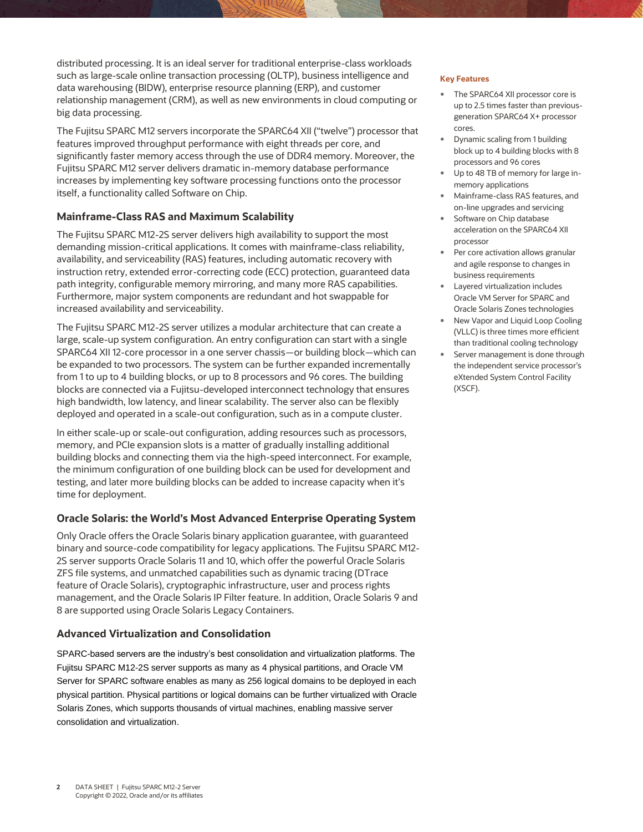distributed processing. It is an ideal server for traditional enterprise-class workloads such as large-scale online transaction processing (OLTP), business intelligence and **Key Features**  data warehousing (BIDW), enterprise resource planning (ERP), and customer relationship management (CRM), as well as new environments in cloud computing or big data processing.

 The Fujitsu SPARC M12 servers incorporate the SPARC64 XII ("twelve") processor that features improved throughput performance with eight threads per core, and significantly faster memory access through the use of DDR4 memory. Moreover, the Fujitsu SPARC M12 server delivers dramatic in-memory database performance increases by implementing key software processing functions onto the processor itself, a functionality called Software on Chip.

#### **Mainframe-Class RAS and Maximum Scalability**

 The Fujitsu SPARC M12-2S server delivers high availability to support the most availability, and serviceability (RAS) features, including automatic recovery with instruction retry, extended error-correcting code (ECC) protection, guaranteed data path integrity, configurable memory mirroring, and many more RAS capabilities. Furthermore, major system components are redundant and hot swappable for demanding mission-critical applications. It comes with mainframe-class reliability, increased availability and serviceability.

 The Fujitsu SPARC M12-2S server utilizes a modular architecture that can create a large, scale-up system configuration. An entry configuration can start with a single SPARC64 XII 12-core processor in a one server chassis—or building block—which can be expanded to two processors. The system can be further expanded incrementally from 1 to up to 4 building blocks, or up to 8 processors and 96 cores. The building high bandwidth, low latency, and linear scalability. The server also can be flexibly deployed and operated in a scale-out configuration, such as in a compute cluster. blocks are connected via a Fujitsu-developed interconnect technology that ensures

 In either scale-up or scale-out configuration, adding resources such as processors, memory, and PCIe expansion slots is a matter of gradually installing additional building blocks and connecting them via the high-speed interconnect. For example, the minimum configuration of one building block can be used for development and testing, and later more building blocks can be added to increase capacity when it's time for deployment.

#### **Oracle Solaris: the World's Most Advanced Enterprise Operating System**

 Only Oracle offers the Oracle Solaris binary application guarantee, with guaranteed 2S server supports Oracle Solaris 11 and 10, which offer the powerful Oracle Solaris ZFS file systems, and unmatched capabilities such as dynamic tracing (DTrace feature of Oracle Solaris), cryptographic infrastructure, user and process rights management, and the Oracle Solaris IP Filter feature. In addition, Oracle Solaris 9 and binary and source-code compatibility for legacy applications. The Fujitsu SPARC M12- 8 are supported using Oracle Solaris Legacy Containers.

#### **Advanced Virtualization and Consolidation**

 SPARC-based servers are the industry's best consolidation and virtualization platforms. The Fujitsu SPARC M12-2S server supports as many as 4 physical partitions, and Oracle VM Server for SPARC software enables as many as 256 logical domains to be deployed in each physical partition. Physical partitions or logical domains can be further virtualized with Oracle Solaris Zones, which supports thousands of virtual machines, enabling massive server consolidation and virtualization.

- The SPARC64 XII processor core is up to 2.5 times faster than previousgeneration SPARC64 X+ processor cores.
- block up to 4 building blocks with 8 Dynamic scaling from 1 building processors and 96 cores
- Up to 48 TB of memory for large inmemory applications
- on-line upgrades and servicing Mainframe-class RAS features, and
- **Software on Chip database**  acceleration on the SPARC64 XII processor
- Per core activation allows granular and agile response to changes in business requirements
- Layered virtualization includes Oracle VM Server for SPARC and Oracle Solaris Zones technologies
- (VLLC) is three times more efficient New Vapor and Liquid Loop Cooling than traditional cooling technology
- Server management is done through the independent service processor's eXtended System Control Facility (XSCF).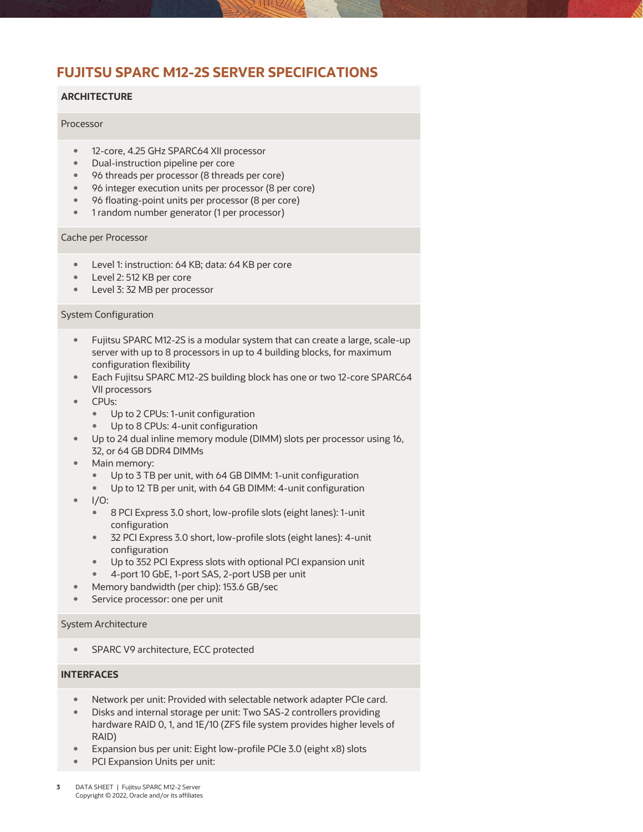# **FUJITSU SPARC M12-2S SERVER SPECIFICATIONS**

#### **ARCHITECTURE**

#### Processor

- 12-core, 4.25 GHz SPARC64 XII processor
- Dual-instruction pipeline per core
- 96 threads per processor (8 threads per core)
- 96 integer execution units per processor (8 per core)
- 96 floating-point units per processor (8 per core)
- 1 random number generator (1 per processor)

#### Cache per Processor

- **Level 1: instruction: 64 KB; data: 64 KB per core**
- Level 2: 512 KB per core
- **Level 3: 32 MB per processor**

#### System Configuration

- Fujitsu SPARC M12-2S is a modular system that can create a large, scale-up server with up to 8 processors in up to 4 building blocks, for maximum configuration flexibility
- **Each Fujitsu SPARC M12-2S building block has one or two 12-core SPARC64** VII processors
- CPUs:
	- Up to 2 CPUs: 1-unit configuration
	- Up to 8 CPUs: 4-unit configuration
- Up to 24 dual inline memory module (DIMM) slots per processor using 16, 32, or 64 GB DDR4 DIMMs
- Main memory:
	- Up to 3 TB per unit, with 64 GB DIMM: 1-unit configuration
	- Up to 12 TB per unit, with 64 GB DIMM: 4-unit configuration
- $\bullet$  I/O:
	- 8 PCI Express 3.0 short, low-profile slots (eight lanes): 1-unit configuration
	- 32 PCI Express 3.0 short, low-profile slots (eight lanes): 4-unit configuration
	- Up to 352 PCI Express slots with optional PCI expansion unit
	- 4-port 10 GbE, 1-port SAS, 2-port USB per unit
- Memory bandwidth (per chip): 153.6 GB/sec
- **Service processor: one per unit**

#### System Architecture

**SPARC V9 architecture, ECC protected** 

#### **INTERFACES**

- Network per unit: Provided with selectable network adapter PCIe card.
- hardware RAID 0, 1, and 1E/10 (ZFS file system provides higher levels of Disks and internal storage per unit: Two SAS-2 controllers providing RAID)
- Expansion bus per unit: Eight low-profile PCIe 3.0 (eight x8) slots
- PCI Expansion Units per unit: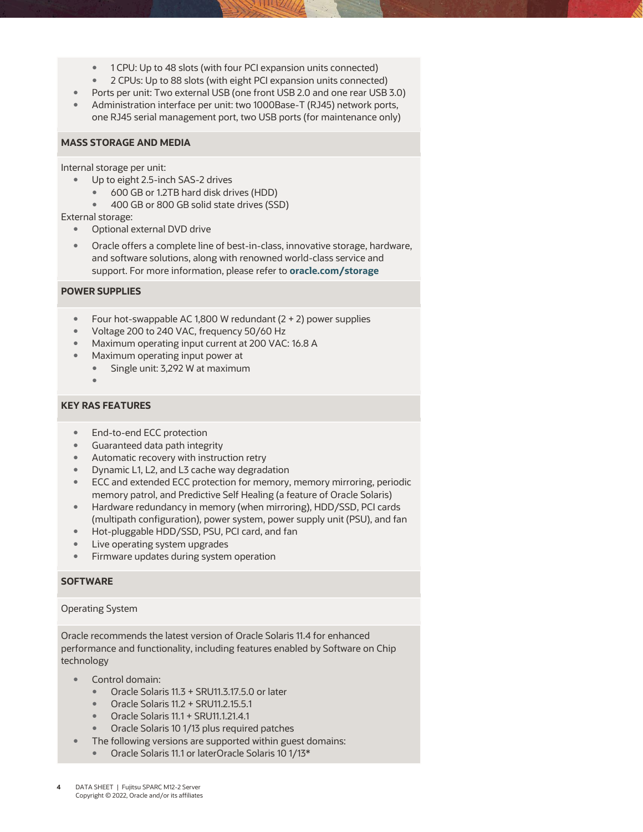- 1 CPU: Up to 48 slots (with four PCI expansion units connected)
- 2 CPUs: Up to 88 slots (with eight PCI expansion units connected)
- Ports per unit: Two external USB (one front USB 2.0 and one rear USB 3.0)
- Administration interface per unit: two 1000Base-T (RJ45) network ports, one RJ45 serial management port, two USB ports (for maintenance only)

#### **MASS STORAGE AND MEDIA**

Internal storage per unit:

- Up to eight 2.5-inch SAS-2 drives
	- 600 GB or 1.2TB hard disk drives (HDD)
	- **400 GB or 800 GB solid state drives (SSD)**

External storage:

- Optional external DVD drive
- Oracle offers a complete line of best-in-class, innovative storage, hardware, and software solutions, along with renowned world-class service and support. For more information, please refer to **[oracle.com/storage](http://www.oracle.com/storage)**

#### **POWER SUPPLIES**

- Four hot-swappable AC 1,800 W redundant  $(2 + 2)$  power supplies
- Voltage 200 to 240 VAC, frequency 50/60 Hz
- **Maximum operating input current at 200 VAC: 16.8 A**
- **Maximum operating input power at** 
	- Single unit: 3,292 W at maximum
	- $\bullet$

#### **KEY RAS FEATURES**

- End-to-end ECC protection
- Guaranteed data path integrity
- Automatic recovery with instruction retry
- Dynamic L1, L2, and L3 cache way degradation
- ECC and extended ECC protection for memory, memory mirroring, periodic memory patrol, and Predictive Self Healing (a feature of Oracle Solaris)
- Hardware redundancy in memory (when mirroring), HDD/SSD, PCI cards (multipath configuration), power system, power supply unit (PSU), and fan
- **Hot-pluggable HDD/SSD, PSU, PCI card, and fan**
- Live operating system upgrades
- **Firmware updates during system operation**

#### **SOFTWARE**

#### Operating System

 Oracle recommends the latest version of Oracle Solaris 11.4 for enhanced performance and functionality, including features enabled by Software on Chip technology

- Control domain:
	- Oracle Solaris 11.3 + SRU11.3.17.5.0 or later
	- Oracle Solaris 11.2 + SRU11.2.15.5.1
	- Oracle Solaris 11.1 + SRU11.1.21.4.1
	- **•** Oracle Solaris 10 1/13 plus required patches
- The following versions are supported within guest domains:
	- Oracle Solaris 11.1 or laterOracle Solaris 10 1/13\*
- **4** DATA SHEET | Fujitsu SPARC M12-2 Server Copyright © 2022, Oracle and/or its affiliates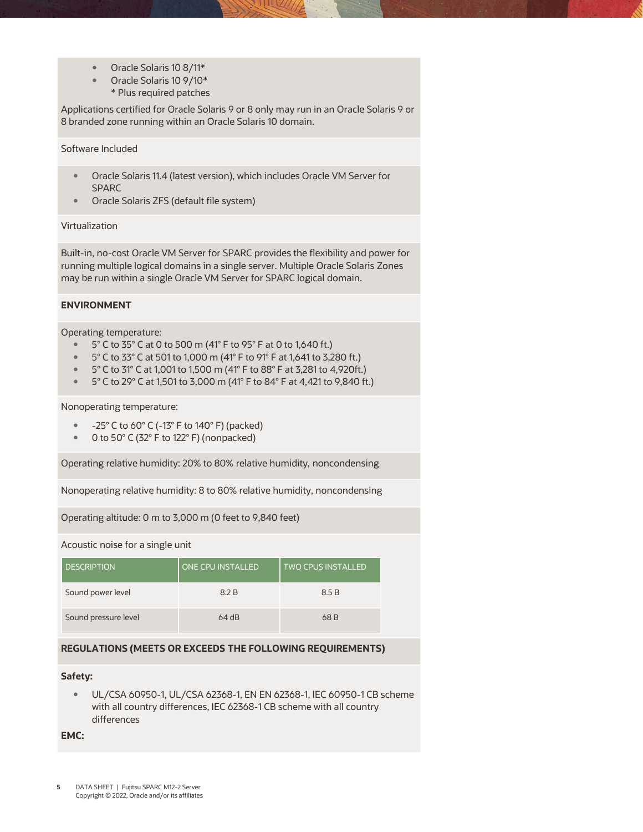- Oracle Solaris 10 8/11\*
- Oracle Solaris 10 9/10\*
	- \* Plus required patches

 Applications certified for Oracle Solaris 9 or 8 only may run in an Oracle Solaris 9 or 8 branded zone running within an Oracle Solaris 10 domain.

#### Software Included

- Oracle Solaris 11.4 (latest version), which includes Oracle VM Server for SPARC
- Oracle Solaris ZFS (default file system)

#### Virtualization

 Built-in, no-cost Oracle VM Server for SPARC provides the flexibility and power for may be run within a single Oracle VM Server for SPARC logical domain. running multiple logical domains in a single server. Multiple Oracle Solaris Zones

#### **ENVIRONMENT**

Operating temperature:

- $\bullet$  5° C to 35° C at 0 to 500 m (41° F to 95° F at 0 to 1,640 ft.)
- $\degree$  5° C to 33° C at 501 to 1,000 m (41° F to 91° F at 1,641 to 3,280 ft.)
- $\degree$  5° C to 31° C at 1,001 to 1,500 m (41° F to 88° F at 3,281 to 4,920ft.)
- $\degree$  5° C to 29° C at 1,501 to 3,000 m (41° F to 84° F at 4,421 to 9,840 ft.)

#### Nonoperating temperature:

- $-25^{\circ}$  C to 60 $^{\circ}$  C (-13 $^{\circ}$  F to 140 $^{\circ}$  F) (packed)
- 0 to 50° C (32° F to 122° F) (nonpacked)

Operating relative humidity: 20% to 80% relative humidity, noncondensing

Nonoperating relative humidity: 8 to 80% relative humidity, noncondensing

Operating altitude: 0 m to 3,000 m (0 feet to 9,840 feet)

#### Acoustic noise for a single unit

| <b>DESCRIPTION</b>   | ONE CPU INSTALLED | <b>TWO CPUS INSTALLED</b> |
|----------------------|-------------------|---------------------------|
| Sound power level    | 8.2 B             | 8.5 B                     |
| Sound pressure level | $64$ dB           | 68 B                      |

#### **REGULATIONS (MEETS OR EXCEEDS THE FOLLOWING REQUIREMENTS)**

#### **Safety:**

 UL/CSA 60950-1, UL/CSA 62368-1, EN EN 62368-1, IEC 60950-1 CB scheme with all country differences, IEC 62368-1 CB scheme with all country differences

**EMC:**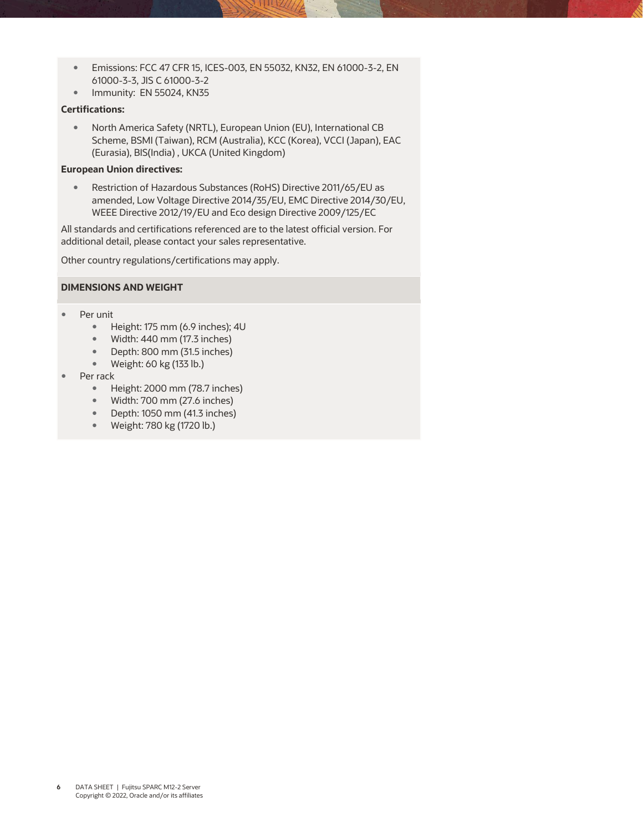- Emissions: FCC 47 CFR 15, ICES-003, EN 55032, KN32, EN 61000-3-2, EN 61000-3-3, JIS C 61000-3-2
- **Immunity: EN 55024, KN35**

#### **Certifications:**

 North America Safety (NRTL), European Union (EU), International CB Scheme, BSMI (Taiwan), RCM (Australia), KCC (Korea), VCCI (Japan), EAC (Eurasia), BIS(India) , UKCA (United Kingdom)

#### **European Union directives:**

 amended, Low Voltage Directive 2014/35/EU, EMC Directive 2014/30/EU, WEEE Directive 2012/19/EU and Eco design Directive 2009/125/EC Restriction of Hazardous Substances (RoHS) Directive 2011/65/EU as

 All standards and certifications referenced are to the latest official version. For additional detail, please contact your sales representative.

Other country regulations/certifications may apply.

#### **DIMENSIONS AND WEIGHT**

- Per unit
	- $\bullet$  Height: 175 mm (6.9 inches); 4U
	- Width: 440 mm (17.3 inches)
	- Depth: 800 mm (31.5 inches)
	- Weight: 60 kg (133 lb.)
- Per rack
	- Height: 2000 mm (78.7 inches)
	- Width: 700 mm (27.6 inches)
	- Depth: 1050 mm (41.3 inches)
	- Weight: 780 kg (1720 lb.)